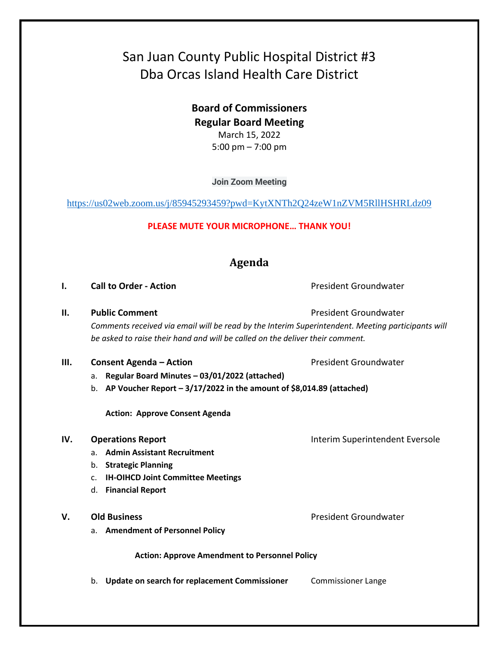# San Juan County Public Hospital District #3 Dba Orcas Island Health Care District

**Board of Commissioners Regular Board Meeting**  March 15, 2022 5:00 pm – 7:00 pm

**Join Zoom Meeting**

<https://us02web.zoom.us/j/85945293459?pwd=KytXNTh2Q24zeW1nZVM5RllHSHRLdz09>

## **PLEASE MUTE YOUR MICROPHONE… THANK YOU!**

# **Agenda**

**I. Call to Order - Action Call to Order - Action President Groundwater** 

**II. Public Comment President Groundwater President Groundwater** *Comments received via email will be read by the Interim Superintendent. Meeting participants will* 

*be asked to raise their hand and will be called on the deliver their comment.*

- **III. Consent Agenda Action President Groundwater** 
	- a. **Regular Board Minutes – 03/01/2022 (attached)**

b. **AP Voucher Report – 3/17/2022 in the amount of \$8,014.89 (attached)**

**Action: Approve Consent Agenda**

- a. **Admin Assistant Recruitment**
- b. **Strategic Planning**
- c. **IH-OIHCD Joint Committee Meetings**
- d. **Financial Report**
- **V. Old Business President Groundwater President Groundwater** 
	- a. **Amendment of Personnel Policy**

**Action: Approve Amendment to Personnel Policy**

b. **Update on search for replacement Commissioner** Commissioner Lange

**IV. Operations Report IV. Operations Report INTER**